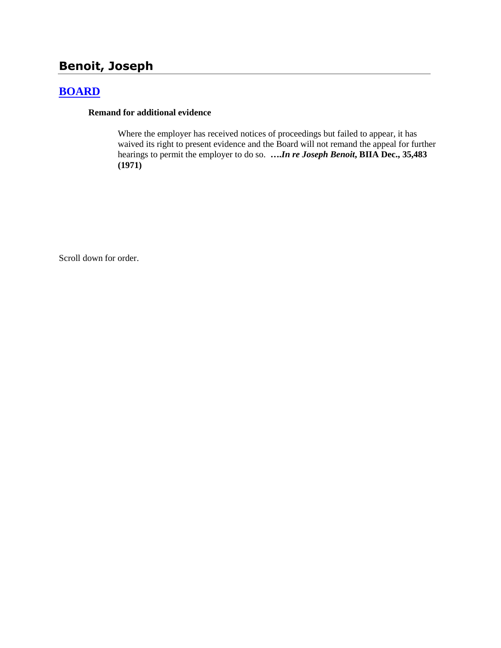# **Benoit, Joseph**

## **[BOARD](http://www.biia.wa.gov/SDSubjectIndex.html#BOARD)**

#### **Remand for additional evidence**

Where the employer has received notices of proceedings but failed to appear, it has waived its right to present evidence and the Board will not remand the appeal for further hearings to permit the employer to do so. **….***In re Joseph Benoit***, BIIA Dec., 35,483 (1971)** 

Scroll down for order.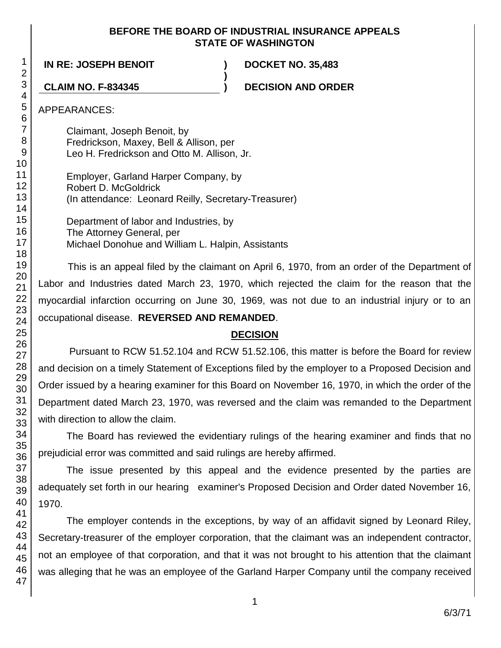### **BEFORE THE BOARD OF INDUSTRIAL INSURANCE APPEALS STATE OF WASHINGTON**

**)**

**IN RE: JOSEPH BENOIT ) DOCKET NO. 35,483**

**CLAIM NO. F-834345 ) DECISION AND ORDER**

APPEARANCES:

Claimant, Joseph Benoit, by Fredrickson, Maxey, Bell & Allison, per Leo H. Fredrickson and Otto M. Allison, Jr.

Employer, Garland Harper Company, by Robert D. McGoldrick (In attendance: Leonard Reilly, Secretary-Treasurer)

Department of labor and Industries, by The Attorney General, per Michael Donohue and William L. Halpin, Assistants

This is an appeal filed by the claimant on April 6, 1970, from an order of the Department of Labor and Industries dated March 23, 1970, which rejected the claim for the reason that the myocardial infarction occurring on June 30, 1969, was not due to an industrial injury or to an occupational disease. **REVERSED AND REMANDED**.

## **DECISION**

Pursuant to RCW 51.52.104 and RCW 51.52.106, this matter is before the Board for review and decision on a timely Statement of Exceptions filed by the employer to a Proposed Decision and Order issued by a hearing examiner for this Board on November 16, 1970, in which the order of the Department dated March 23, 1970, was reversed and the claim was remanded to the Department with direction to allow the claim.

The Board has reviewed the evidentiary rulings of the hearing examiner and finds that no prejudicial error was committed and said rulings are hereby affirmed.

The issue presented by this appeal and the evidence presented by the parties are adequately set forth in our hearing examiner's Proposed Decision and Order dated November 16, 1970.

The employer contends in the exceptions, by way of an affidavit signed by Leonard Riley, Secretary-treasurer of the employer corporation, that the claimant was an independent contractor, not an employee of that corporation, and that it was not brought to his attention that the claimant was alleging that he was an employee of the Garland Harper Company until the company received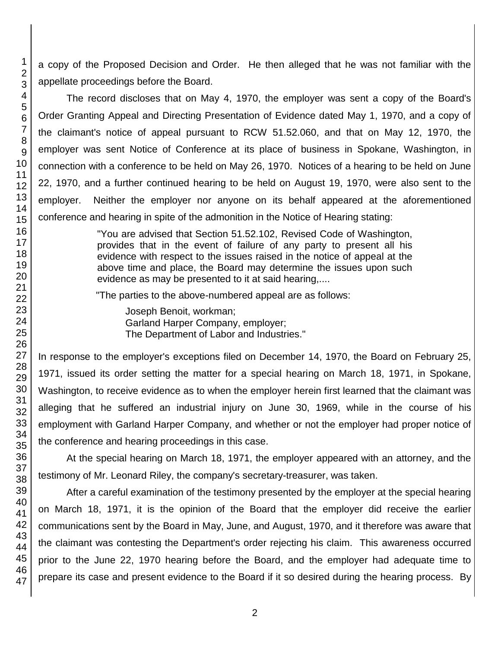a copy of the Proposed Decision and Order. He then alleged that he was not familiar with the appellate proceedings before the Board.

The record discloses that on May 4, 1970, the employer was sent a copy of the Board's Order Granting Appeal and Directing Presentation of Evidence dated May 1, 1970, and a copy of the claimant's notice of appeal pursuant to RCW 51.52.060, and that on May 12, 1970, the employer was sent Notice of Conference at its place of business in Spokane, Washington, in connection with a conference to be held on May 26, 1970. Notices of a hearing to be held on June 22, 1970, and a further continued hearing to be held on August 19, 1970, were also sent to the employer. Neither the employer nor anyone on its behalf appeared at the aforementioned conference and hearing in spite of the admonition in the Notice of Hearing stating:

> "You are advised that Section 51.52.102, Revised Code of Washington, provides that in the event of failure of any party to present all his evidence with respect to the issues raised in the notice of appeal at the above time and place, the Board may determine the issues upon such evidence as may be presented to it at said hearing,....

"The parties to the above-numbered appeal are as follows:

Joseph Benoit, workman; Garland Harper Company, employer; The Department of Labor and Industries."

In response to the employer's exceptions filed on December 14, 1970, the Board on February 25, 1971, issued its order setting the matter for a special hearing on March 18, 1971, in Spokane, Washington, to receive evidence as to when the employer herein first learned that the claimant was alleging that he suffered an industrial injury on June 30, 1969, while in the course of his employment with Garland Harper Company, and whether or not the employer had proper notice of the conference and hearing proceedings in this case.

At the special hearing on March 18, 1971, the employer appeared with an attorney, and the testimony of Mr. Leonard Riley, the company's secretary-treasurer, was taken.

After a careful examination of the testimony presented by the employer at the special hearing on March 18, 1971, it is the opinion of the Board that the employer did receive the earlier communications sent by the Board in May, June, and August, 1970, and it therefore was aware that the claimant was contesting the Department's order rejecting his claim. This awareness occurred prior to the June 22, 1970 hearing before the Board, and the employer had adequate time to prepare its case and present evidence to the Board if it so desired during the hearing process. By

1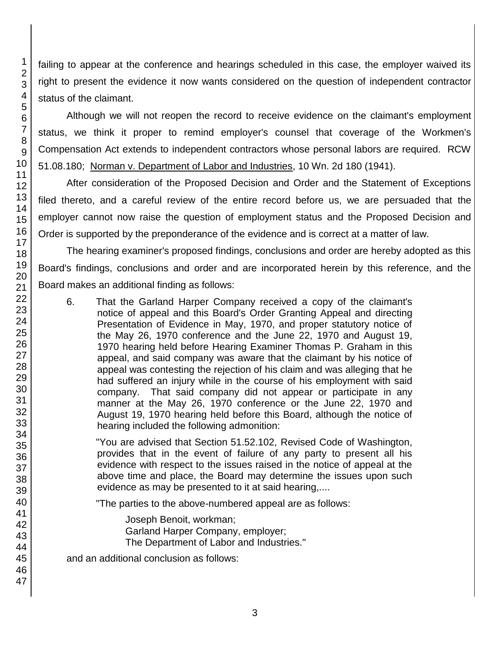failing to appear at the conference and hearings scheduled in this case, the employer waived its right to present the evidence it now wants considered on the question of independent contractor status of the claimant.

Although we will not reopen the record to receive evidence on the claimant's employment status, we think it proper to remind employer's counsel that coverage of the Workmen's Compensation Act extends to independent contractors whose personal labors are required. RCW 51.08.180; Norman v. Department of Labor and Industries, 10 Wn. 2d 180 (1941).

After consideration of the Proposed Decision and Order and the Statement of Exceptions filed thereto, and a careful review of the entire record before us, we are persuaded that the employer cannot now raise the question of employment status and the Proposed Decision and Order is supported by the preponderance of the evidence and is correct at a matter of law.

The hearing examiner's proposed findings, conclusions and order are hereby adopted as this Board's findings, conclusions and order and are incorporated herein by this reference, and the Board makes an additional finding as follows:

6. That the Garland Harper Company received a copy of the claimant's notice of appeal and this Board's Order Granting Appeal and directing Presentation of Evidence in May, 1970, and proper statutory notice of the May 26, 1970 conference and the June 22, 1970 and August 19, 1970 hearing held before Hearing Examiner Thomas P. Graham in this appeal, and said company was aware that the claimant by his notice of appeal was contesting the rejection of his claim and was alleging that he had suffered an injury while in the course of his employment with said company. That said company did not appear or participate in any manner at the May 26, 1970 conference or the June 22, 1970 and August 19, 1970 hearing held before this Board, although the notice of hearing included the following admonition:

"You are advised that Section 51.52.102, Revised Code of Washington, provides that in the event of failure of any party to present all his evidence with respect to the issues raised in the notice of appeal at the above time and place, the Board may determine the issues upon such evidence as may be presented to it at said hearing,....

"The parties to the above-numbered appeal are as follows:

Joseph Benoit, workman; Garland Harper Company, employer; The Department of Labor and Industries."

and an additional conclusion as follows: